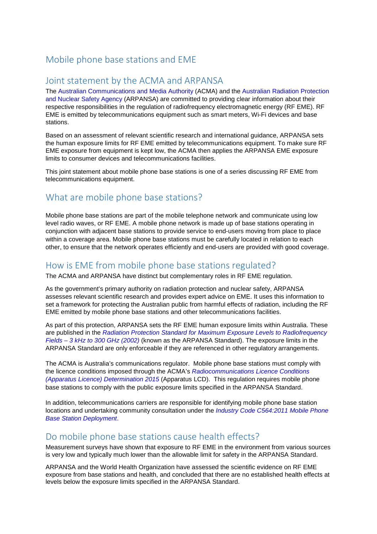# Mobile phone base stations and EME

### Joint statement by the ACMA and ARPANSA

The [Australian Communications and Media Authority](http://www.acma.gov.au/) (ACMA) and the [Australian Radiation Protection](http://www.arpansa.gov.au/) [and Nuclear Safety Agency](http://www.arpansa.gov.au/) (ARPANSA) are committed to providing clear information about their respective responsibilities in the regulation of radiofrequency electromagnetic energy (RF EME). RF EME is emitted by telecommunications equipment such as smart meters, Wi-Fi devices and base stations.

Based on an assessment of relevant scientific research and international guidance, ARPANSA sets the human exposure limits for RF EME emitted by telecommunications equipment. To make sure RF EME exposure from equipment is kept low, the ACMA then applies the ARPANSA EME exposure limits to consumer devices and telecommunications facilities.

This joint statement about mobile phone base stations is one of a series discussing RF EME from telecommunications equipment.

# What are mobile phone base stations?

Mobile phone base stations are part of the mobile telephone network and communicate using low level radio waves, or RF EME. A mobile phone network is made up of base stations operating in conjunction with adjacent base stations to provide service to end-users moving from place to place within a coverage area. Mobile phone base stations must be carefully located in relation to each other, to ensure that the network operates efficiently and end-users are provided with good coverage.

#### How is EME from mobile phone base stations regulated?

The ACMA and ARPANSA have distinct but complementary roles in RF EME regulation.

As the government's primary authority on radiation protection and nuclear safety, ARPANSA assesses relevant scientific research and provides expert advice on EME. It uses this information to set a framework for protecting the Australian public from harmful effects of radiation, including the RF EME emitted by mobile phone base stations and other telecommunications facilities.

As part of this protection, ARPANSA sets the RF EME human exposure limits within Australia. These are published in the *[Radiation Protection Standard for Maximum Exposure Levels to Radiofrequency](http://www.arpansa.gov.au/RadiationProtection/Factsheets/is_rfStandard.cfm)  Fields – [3 kHz to 300 GHz \(2002\)](http://www.arpansa.gov.au/RadiationProtection/Factsheets/is_rfStandard.cfm)* (known as the ARPANSA Standard). The exposure limits in the ARPANSA Standard are only enforceable if they are referenced in other regulatory arrangements.

The ACMA is Australia's communications regulator. Mobile phone base stations must comply with the licence conditions imposed through the ACMA's *[Radiocommunications Licence Conditions](http://www.comlaw.gov.au/Series/F2015L00210)  [\(Apparatus Licence\) Determination 2015](http://www.comlaw.gov.au/Series/F2015L00210)* (Apparatus LCD). This regulation requires mobile phone base stations to comply with the public exposure limits specified in the ARPANSA Standard.

In addition, telecommunications carriers are responsible for identifying mobile phone base station locations and undertaking community consultation under the *[Industry Code C564:2011 Mobile Phone](http://www.commsalliance.com.au/Documents/all/codes/c564)  [Base Station Deployment](http://www.commsalliance.com.au/Documents/all/codes/c564)*.

## Do mobile phone base stations cause health effects?

Measurement surveys have shown that exposure to RF EME in the environment from various sources is very low and typically much lower than the allowable limit for safety in the ARPANSA Standard.

ARPANSA and the World Health Organization have assessed the scientific evidence on RF EME exposure from base stations and health, and concluded that there are no established health effects at levels below the exposure limits specified in the ARPANSA Standard.